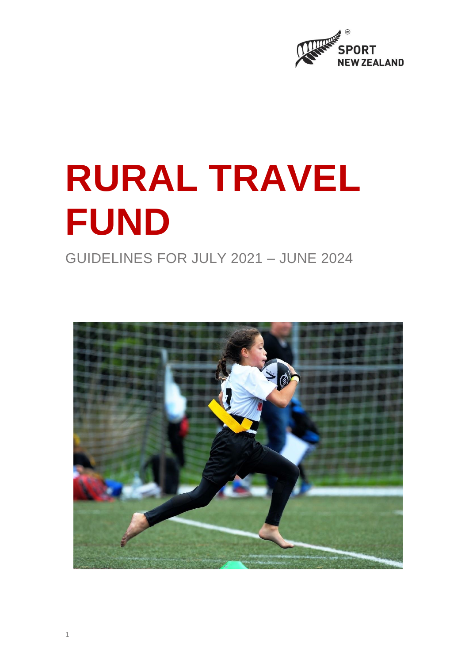

# **RURAL TRAVEL FUND**

GUIDELINES FOR JULY 2021 – JUNE 2024

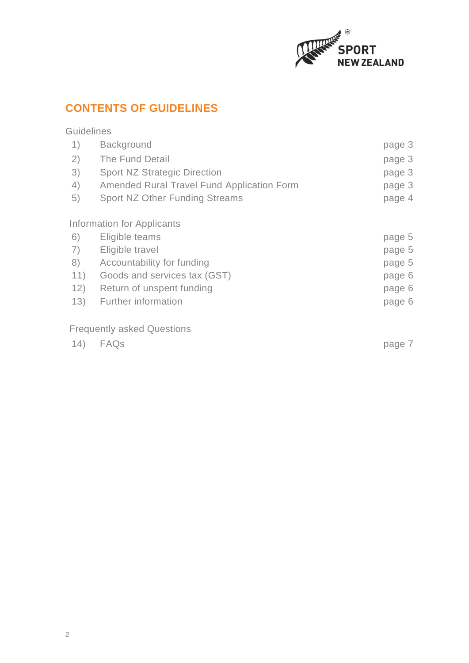

# **CONTENTS OF GUIDELINES**

| <b>Guidelines</b> |                                                   |        |
|-------------------|---------------------------------------------------|--------|
| 1)                | <b>Background</b>                                 | page 3 |
| 2)                | The Fund Detail                                   | page 3 |
| 3)                | <b>Sport NZ Strategic Direction</b>               | page 3 |
| 4)                | <b>Amended Rural Travel Fund Application Form</b> | page 3 |
| 5)                | <b>Sport NZ Other Funding Streams</b>             | page 4 |
|                   | Information for Applicants                        |        |
| 6)                | Eligible teams                                    | page 5 |
| 7)                | Eligible travel                                   | page 5 |
| 8)                | Accountability for funding                        | page 5 |
| 11)               | Goods and services tax (GST)                      | page 6 |
| 12)               | Return of unspent funding                         | page 6 |
| 13)               | <b>Further information</b>                        | page 6 |
|                   | <b>Frequently asked Questions</b>                 |        |
| (14)              | FAQs                                              | page 7 |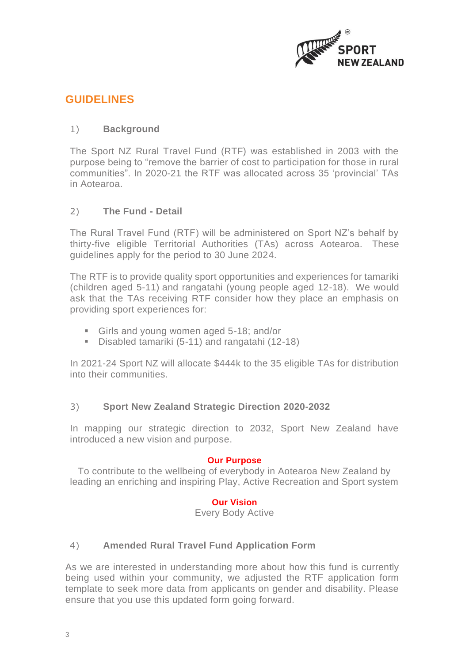

# **GUIDELINES**

## 1) **Background**

The Sport NZ Rural Travel Fund (RTF) was established in 2003 with the purpose being to "remove the barrier of cost to participation for those in rural communities". In 2020-21 the RTF was allocated across 35 'provincial' TAs in Aotearoa.

## 2) **The Fund - Detail**

The Rural Travel Fund (RTF) will be administered on Sport NZ's behalf by thirty-five eligible Territorial Authorities (TAs) across Aotearoa. These guidelines apply for the period to 30 June 2024.

The RTF is to provide quality sport opportunities and experiences for tamariki (children aged 5-11) and rangatahi (young people aged 12-18). We would ask that the TAs receiving RTF consider how they place an emphasis on providing sport experiences for:

- **EXECT:** Girls and young women aged 5-18; and/or
- Disabled tamariki (5-11) and rangatahi (12-18)

In 2021-24 Sport NZ will allocate \$444k to the 35 eligible TAs for distribution into their communities.

# 3) **Sport New Zealand Strategic Direction 2020-2032**

In mapping our strategic direction to 2032, Sport New Zealand have introduced a new vision and purpose.

#### **Our Purpose**

To contribute to the wellbeing of everybody in Aotearoa New Zealand by leading an enriching and inspiring Play, Active Recreation and Sport system

### **Our Vision**

Every Body Active

# 4) **Amended Rural Travel Fund Application Form**

As we are interested in understanding more about how this fund is currently being used within your community, we adjusted the RTF application form template to seek more data from applicants on gender and disability. Please ensure that you use this updated form going forward.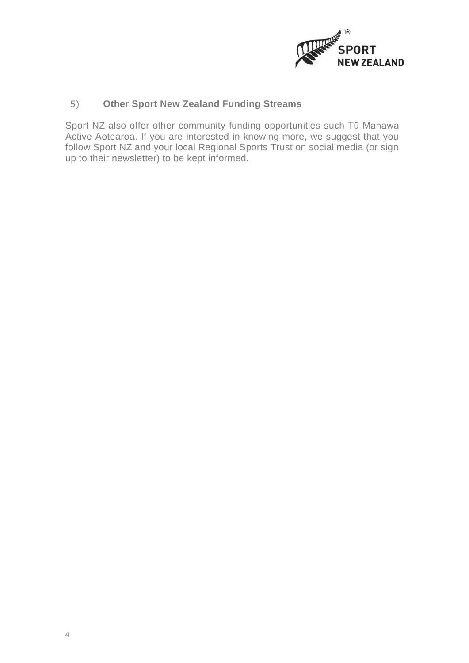

# 5) **Other Sport New Zealand Funding Streams**

Sport NZ also offer other community funding opportunities such Tū Manawa Active Aotearoa. If you are interested in knowing more, we suggest that you follow Sport NZ and your local Regional Sports Trust on social media (or sign up to their newsletter) to be kept informed.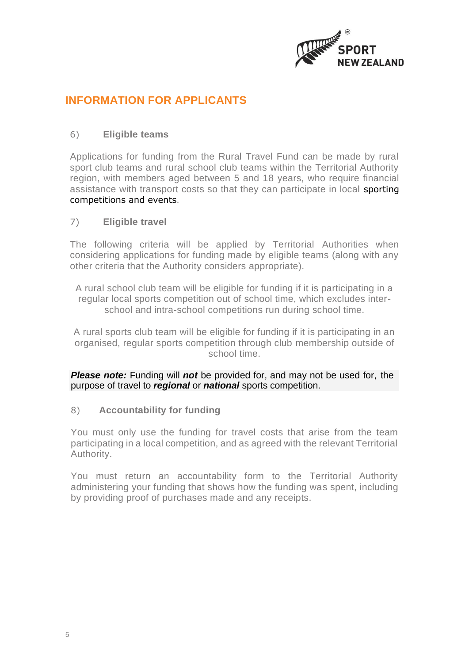

# **INFORMATION FOR APPLICANTS**

## 6) **Eligible teams**

Applications for funding from the Rural Travel Fund can be made by rural sport club teams and rural school club teams within the Territorial Authority region, with members aged between 5 and 18 years, who require financial assistance with transport costs so that they can participate in local sporting competitions and events.

### 7) **Eligible travel**

The following criteria will be applied by Territorial Authorities when considering applications for funding made by eligible teams (along with any other criteria that the Authority considers appropriate).

A rural school club team will be eligible for funding if it is participating in a regular local sports competition out of school time, which excludes interschool and intra-school competitions run during school time.

A rural sports club team will be eligible for funding if it is participating in an organised, regular sports competition through club membership outside of school time.

*Please note:* Funding will *not* be provided for, and may not be used for, the purpose of travel to *regional* or *national* sports competition.

### 8) **Accountability for funding**

You must only use the funding for travel costs that arise from the team participating in a local competition, and as agreed with the relevant Territorial Authority.

You must return an accountability form to the Territorial Authority administering your funding that shows how the funding was spent, including by providing proof of purchases made and any receipts.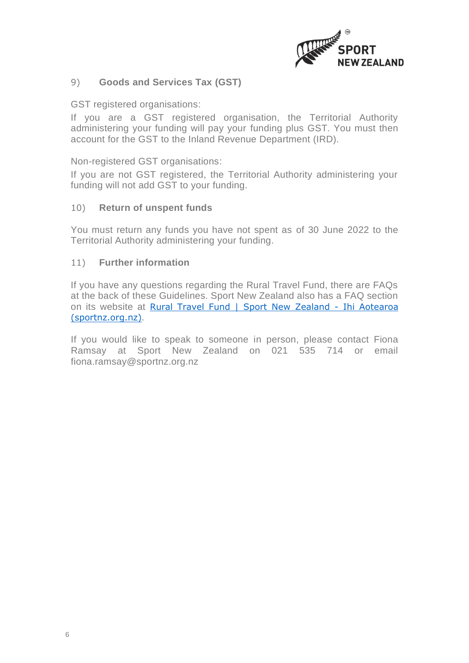

### 9) **Goods and Services Tax (GST)**

GST registered organisations:

If you are a GST registered organisation, the Territorial Authority administering your funding will pay your funding plus GST. You must then account for the GST to the Inland Revenue Department (IRD).

Non-registered GST organisations:

If you are not GST registered, the Territorial Authority administering your funding will not add GST to your funding.

#### 10) **Return of unspent funds**

You must return any funds you have not spent as of 30 June 2022 to the Territorial Authority administering your funding.

#### 11) **Further information**

If you have any questions regarding the Rural Travel Fund, there are FAQs at the back of these Guidelines. Sport New Zealand also has a FAQ section on its website at [Rural Travel Fund | Sport New Zealand -](https://sportnz.org.nz/resources/rural-travel-fund/) Ihi Aotearoa [\(sportnz.org.nz\)](https://sportnz.org.nz/resources/rural-travel-fund/).

If you would like to speak to someone in person, please contact Fiona Ramsay at Sport New Zealand on 021 535 714 or email [fiona.ramsay@sportnz.org.nz](mailto:fiona.ramsay@sportnz.org.nz)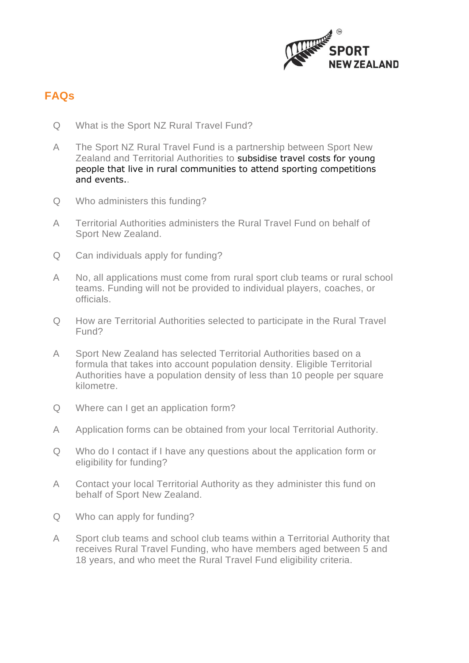

# **FAQs**

- Q What is the Sport NZ Rural Travel Fund?
- A The Sport NZ Rural Travel Fund is a partnership between Sport New Zealand and Territorial Authorities to subsidise travel costs for young people that live in rural communities to attend sporting competitions and events..
- Q Who administers this funding?
- A Territorial Authorities administers the Rural Travel Fund on behalf of Sport New Zealand.
- Q Can individuals apply for funding?
- A No, all applications must come from rural sport club teams or rural school teams. Funding will not be provided to individual players, coaches, or officials.
- Q How are Territorial Authorities selected to participate in the Rural Travel Fund?
- A Sport New Zealand has selected Territorial Authorities based on a formula that takes into account population density. Eligible Territorial Authorities have a population density of less than 10 people per square kilometre.
- Q Where can I get an application form?
- A Application forms can be obtained from your local Territorial Authority.
- Q Who do I contact if I have any questions about the application form or eligibility for funding?
- A Contact your local Territorial Authority as they administer this fund on behalf of Sport New Zealand.
- Q Who can apply for funding?
- A Sport club teams and school club teams within a Territorial Authority that receives Rural Travel Funding, who have members aged between 5 and 18 years, and who meet the Rural Travel Fund eligibility criteria.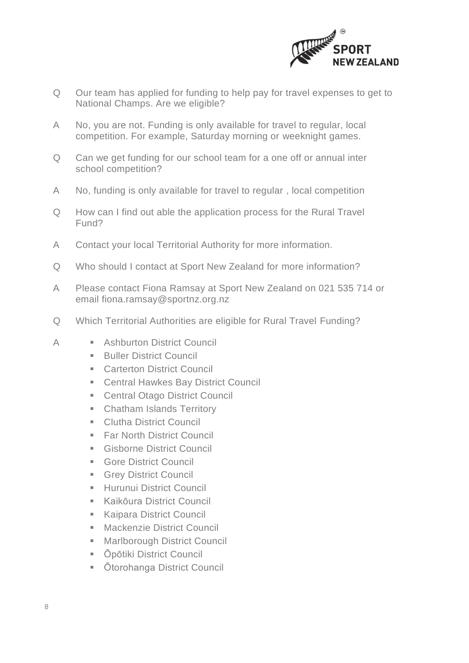

- Q Our team has applied for funding to help pay for travel expenses to get to National Champs. Are we eligible?
- A No, you are not. Funding is only available for travel to regular, local competition. For example, Saturday morning or weeknight games.
- Q Can we get funding for our school team for a one off or annual inter school competition?
- A No, funding is only available for travel to regular , local competition
- Q How can I find out able the application process for the Rural Travel Fund?
- A Contact your local Territorial Authority for more information.
- Q Who should I contact at Sport New Zealand for more information?
- A Please contact Fiona Ramsay at Sport New Zealand on 021 535 714 or email [fiona.ramsay@sportnz.org.nz](mailto:fiona.ramsay@sportnz.org.nz)
- Q Which Territorial Authorities are eligible for Rural Travel Funding?
- A **E** Ashburton District Council
	- **Buller District Council**
	- Carterton District Council
	- Central Hawkes Bay District Council
	- Central Otago District Council
	- **EXEC** Chatham Islands Territory
	- Clutha District Council
	- Far North District Council
	- **E** Gisborne District Council
	- **Gore District Council**
	- **E** Grey District Council
	- **E** Hurunui District Council
	- **Kaikōura District Council**
	- **Kaipara District Council**
	- Mackenzie District Council
	- Marlborough District Council
	- **Ōpōtiki District Council**
	- Ōtorohanga District Council